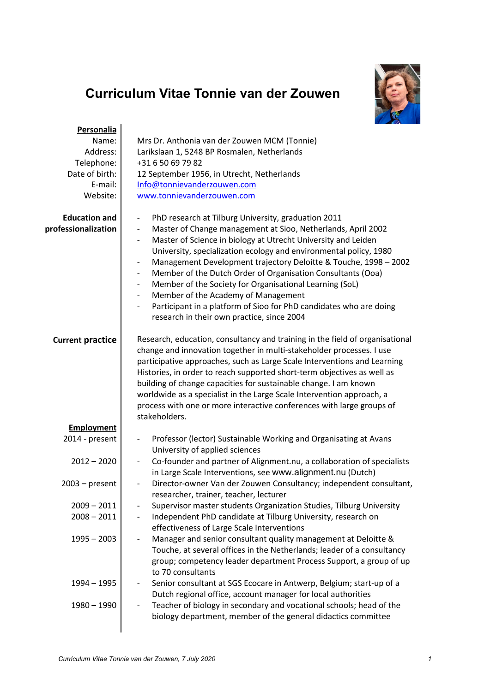## **Curriculum Vitae Tonnie van der Zouwen**



| Personalia              |                                                                                                    |
|-------------------------|----------------------------------------------------------------------------------------------------|
| Name:                   | Mrs Dr. Anthonia van der Zouwen MCM (Tonnie)                                                       |
| Address:                | Larikslaan 1, 5248 BP Rosmalen, Netherlands                                                        |
| Telephone:              | +31 6 50 69 79 82                                                                                  |
| Date of birth:          | 12 September 1956, in Utrecht, Netherlands                                                         |
| E-mail:                 | Info@tonnievanderzouwen.com                                                                        |
| Website:                | www.tonnievanderzouwen.com                                                                         |
|                         |                                                                                                    |
| <b>Education and</b>    | PhD research at Tilburg University, graduation 2011<br>$\qquad \qquad \blacksquare$                |
| professionalization     | Master of Change management at Sioo, Netherlands, April 2002                                       |
|                         | Master of Science in biology at Utrecht University and Leiden<br>$\qquad \qquad \blacksquare$      |
|                         | University, specialization ecology and environmental policy, 1980                                  |
|                         | Management Development trajectory Deloitte & Touche, 1998 - 2002                                   |
|                         | Member of the Dutch Order of Organisation Consultants (Ooa)<br>$\overline{\phantom{a}}$            |
|                         | Member of the Society for Organisational Learning (SoL)<br>$\overline{\phantom{a}}$                |
|                         | Member of the Academy of Management<br>$\overline{\phantom{a}}$                                    |
|                         | Participant in a platform of Sioo for PhD candidates who are doing                                 |
|                         | research in their own practice, since 2004                                                         |
|                         |                                                                                                    |
| <b>Current practice</b> | Research, education, consultancy and training in the field of organisational                       |
|                         | change and innovation together in multi-stakeholder processes. I use                               |
|                         | participative approaches, such as Large Scale Interventions and Learning                           |
|                         | Histories, in order to reach supported short-term objectives as well as                            |
|                         | building of change capacities for sustainable change. I am known                                   |
|                         | worldwide as a specialist in the Large Scale Intervention approach, a                              |
|                         | process with one or more interactive conferences with large groups of                              |
|                         | stakeholders.                                                                                      |
| <b>Employment</b>       |                                                                                                    |
| 2014 - present          | Professor (lector) Sustainable Working and Organisating at Avans<br>$\qquad \qquad \blacksquare$   |
|                         | University of applied sciences                                                                     |
| $2012 - 2020$           | Co-founder and partner of Alignment.nu, a collaboration of specialists<br>$\overline{\phantom{a}}$ |
|                         | in Large Scale Interventions, see www.alignment.nu (Dutch)                                         |
| $2003$ – present        | Director-owner Van der Zouwen Consultancy; independent consultant,                                 |
|                         | $\overline{\phantom{a}}$                                                                           |
|                         | researcher, trainer, teacher, lecturer                                                             |
| $2009 - 2011$           | Supervisor master students Organization Studies, Tilburg University                                |
| $2008 - 2011$           | Independent PhD candidate at Tilburg University, research on<br>$\overline{\phantom{a}}$           |
|                         | effectiveness of Large Scale Interventions                                                         |
| $1995 - 2003$           | Manager and senior consultant quality management at Deloitte &                                     |
|                         | Touche, at several offices in the Netherlands; leader of a consultancy                             |
|                         | group; competency leader department Process Support, a group of up                                 |
|                         | to 70 consultants                                                                                  |
| 1994 - 1995             | Senior consultant at SGS Ecocare in Antwerp, Belgium; start-up of a                                |
|                         | Dutch regional office, account manager for local authorities                                       |
| $1980 - 1990$           | Teacher of biology in secondary and vocational schools; head of the<br>$\overline{\phantom{a}}$    |
|                         | biology department, member of the general didactics committee                                      |
|                         |                                                                                                    |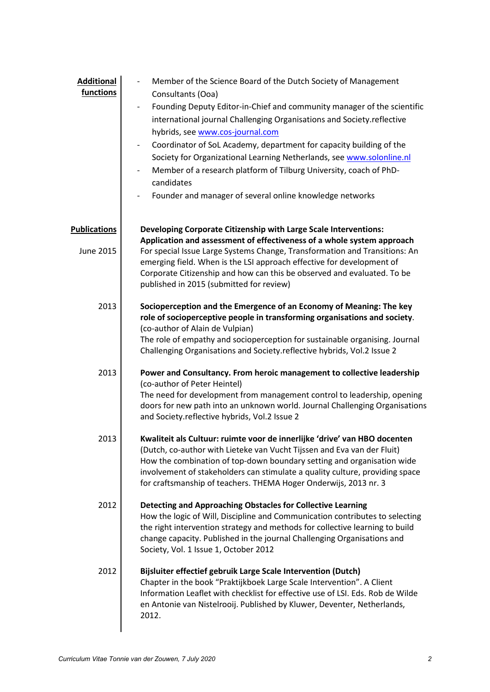| <b>Additional</b><br>functions          | Member of the Science Board of the Dutch Society of Management<br>Consultants (Ooa)<br>Founding Deputy Editor-in-Chief and community manager of the scientific<br>$\qquad \qquad \blacksquare$<br>international journal Challenging Organisations and Society.reflective<br>hybrids, see www.cos-journal.com<br>Coordinator of SoL Academy, department for capacity building of the<br>$\qquad \qquad \blacksquare$<br>Society for Organizational Learning Netherlands, see www.solonline.nl<br>Member of a research platform of Tilburg University, coach of PhD-<br>$\qquad \qquad \blacksquare$<br>candidates<br>Founder and manager of several online knowledge networks<br>$\qquad \qquad \blacksquare$ |
|-----------------------------------------|--------------------------------------------------------------------------------------------------------------------------------------------------------------------------------------------------------------------------------------------------------------------------------------------------------------------------------------------------------------------------------------------------------------------------------------------------------------------------------------------------------------------------------------------------------------------------------------------------------------------------------------------------------------------------------------------------------------|
| <b>Publications</b><br><b>June 2015</b> | Developing Corporate Citizenship with Large Scale Interventions:<br>Application and assessment of effectiveness of a whole system approach<br>For special Issue Large Systems Change, Transformation and Transitions: An<br>emerging field. When is the LSI approach effective for development of<br>Corporate Citizenship and how can this be observed and evaluated. To be<br>published in 2015 (submitted for review)                                                                                                                                                                                                                                                                                     |
| 2013                                    | Socioperception and the Emergence of an Economy of Meaning: The key<br>role of socioperceptive people in transforming organisations and society.<br>(co-author of Alain de Vulpian)<br>The role of empathy and socioperception for sustainable organising. Journal<br>Challenging Organisations and Society.reflective hybrids, Vol.2 Issue 2                                                                                                                                                                                                                                                                                                                                                                |
| 2013                                    | Power and Consultancy. From heroic management to collective leadership<br>(co-author of Peter Heintel)<br>The need for development from management control to leadership, opening<br>doors for new path into an unknown world. Journal Challenging Organisations<br>and Society.reflective hybrids, Vol.2 Issue 2                                                                                                                                                                                                                                                                                                                                                                                            |
| 2013                                    | Kwaliteit als Cultuur: ruimte voor de innerlijke 'drive' van HBO docenten<br>(Dutch, co-author with Lieteke van Vucht Tijssen and Eva van der Fluit)<br>How the combination of top-down boundary setting and organisation wide<br>involvement of stakeholders can stimulate a quality culture, providing space<br>for craftsmanship of teachers. THEMA Hoger Onderwijs, 2013 nr. 3                                                                                                                                                                                                                                                                                                                           |
| 2012                                    | Detecting and Approaching Obstacles for Collective Learning<br>How the logic of Will, Discipline and Communication contributes to selecting<br>the right intervention strategy and methods for collective learning to build<br>change capacity. Published in the journal Challenging Organisations and<br>Society, Vol. 1 Issue 1, October 2012                                                                                                                                                                                                                                                                                                                                                              |
| 2012                                    | Bijsluiter effectief gebruik Large Scale Intervention (Dutch)<br>Chapter in the book "Praktijkboek Large Scale Intervention". A Client<br>Information Leaflet with checklist for effective use of LSI. Eds. Rob de Wilde<br>en Antonie van Nistelrooij. Published by Kluwer, Deventer, Netherlands,<br>2012.                                                                                                                                                                                                                                                                                                                                                                                                 |